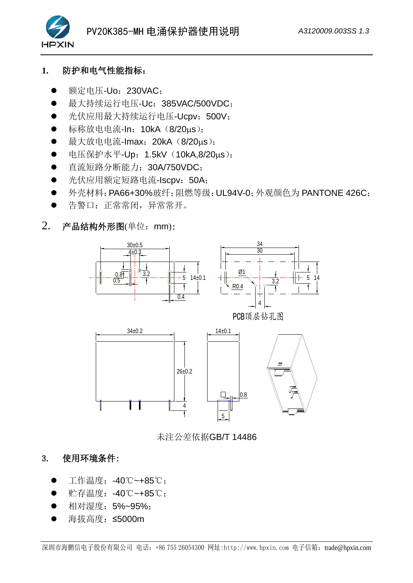

## **1.** 防护和电气性能指标:

- 额定电压-Uo: 230VAC:
- 最大持续运行电压-Uc: 385VAC/500VDC:
- 光伏应用最大持续运行电压-Ucpv: 500V;
- 标称放电电流-In: 10kA (8/20μs);
- 最大放电电流-Imax: 20kA (8/20us);
- 电压保护水平-Up: 1.5kV (10kA,8/20us);
- 直流短路分断能力: 30A/750VDC:
- 光伏应用额定短路电流-Iscpv: 50A;
- 外壳材料: PA66+30%玻纤: 阻燃等级: UL94V-0: 外观颜色为 PANTONE 426C:
- 告警口: 正常常闭, 异常常开。
- 2. 产品结构外形图(单位:mm):



未注公差依据GB/T 14486

# 3. 使用环境条件:

- 工作温度: -40℃~+85℃;
- 贮存温度:-40℃~+85℃;
- 相对湿度: 5%~95%;
- 海拔高度: ≤5000m